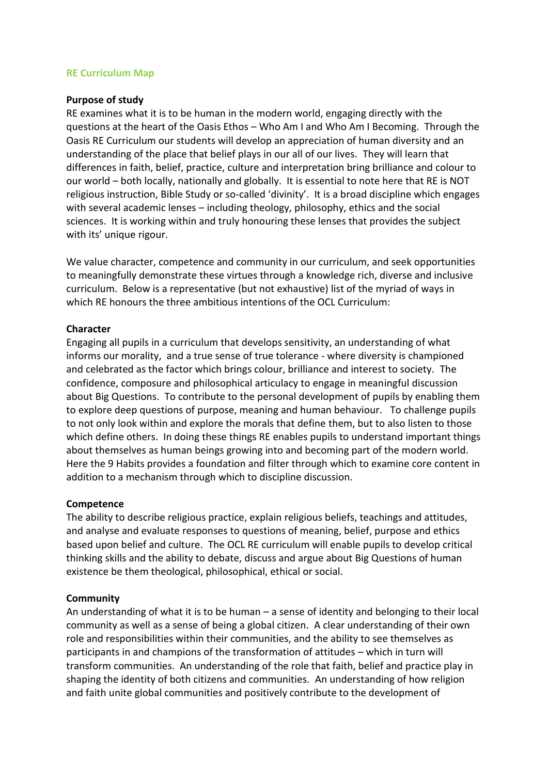## **RE Curriculum Map**

#### **Purpose of study**

RE examines what it is to be human in the modern world, engaging directly with the questions at the heart of the Oasis Ethos – Who Am I and Who Am I Becoming. Through the Oasis RE Curriculum our students will develop an appreciation of human diversity and an understanding of the place that belief plays in our all of our lives. They will learn that differences in faith, belief, practice, culture and interpretation bring brilliance and colour to our world – both locally, nationally and globally. It is essential to note here that RE is NOT religious instruction, Bible Study or so-called 'divinity'. It is a broad discipline which engages with several academic lenses – including theology, philosophy, ethics and the social sciences. It is working within and truly honouring these lenses that provides the subject with its' unique rigour.

We value character, competence and community in our curriculum, and seek opportunities to meaningfully demonstrate these virtues through a knowledge rich, diverse and inclusive curriculum. Below is a representative (but not exhaustive) list of the myriad of ways in which RE honours the three ambitious intentions of the OCL Curriculum:

## **Character**

Engaging all pupils in a curriculum that develops sensitivity, an understanding of what informs our morality, and a true sense of true tolerance - where diversity is championed and celebrated as the factor which brings colour, brilliance and interest to society. The confidence, composure and philosophical articulacy to engage in meaningful discussion about Big Questions. To contribute to the personal development of pupils by enabling them to explore deep questions of purpose, meaning and human behaviour. To challenge pupils to not only look within and explore the morals that define them, but to also listen to those which define others. In doing these things RE enables pupils to understand important things about themselves as human beings growing into and becoming part of the modern world. Here the 9 Habits provides a foundation and filter through which to examine core content in addition to a mechanism through which to discipline discussion.

#### **Competence**

The ability to describe religious practice, explain religious beliefs, teachings and attitudes, and analyse and evaluate responses to questions of meaning, belief, purpose and ethics based upon belief and culture. The OCL RE curriculum will enable pupils to develop critical thinking skills and the ability to debate, discuss and argue about Big Questions of human existence be them theological, philosophical, ethical or social.

## **Community**

An understanding of what it is to be human – a sense of identity and belonging to their local community as well as a sense of being a global citizen. A clear understanding of their own role and responsibilities within their communities, and the ability to see themselves as participants in and champions of the transformation of attitudes – which in turn will transform communities. An understanding of the role that faith, belief and practice play in shaping the identity of both citizens and communities. An understanding of how religion and faith unite global communities and positively contribute to the development of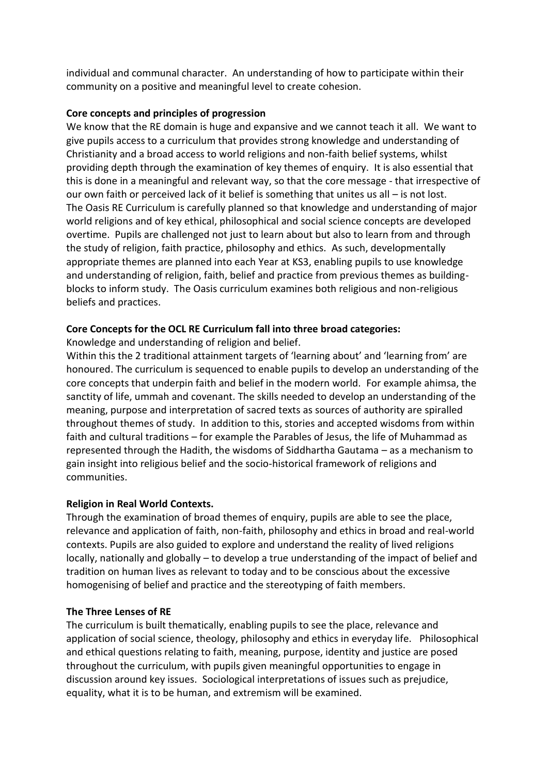individual and communal character. An understanding of how to participate within their community on a positive and meaningful level to create cohesion.

## **Core concepts and principles of progression**

We know that the RE domain is huge and expansive and we cannot teach it all. We want to give pupils access to a curriculum that provides strong knowledge and understanding of Christianity and a broad access to world religions and non-faith belief systems, whilst providing depth through the examination of key themes of enquiry. It is also essential that this is done in a meaningful and relevant way, so that the core message - that irrespective of our own faith or perceived lack of it belief is something that unites us all – is not lost. The Oasis RE Curriculum is carefully planned so that knowledge and understanding of major world religions and of key ethical, philosophical and social science concepts are developed overtime. Pupils are challenged not just to learn about but also to learn from and through the study of religion, faith practice, philosophy and ethics. As such, developmentally appropriate themes are planned into each Year at KS3, enabling pupils to use knowledge and understanding of religion, faith, belief and practice from previous themes as buildingblocks to inform study. The Oasis curriculum examines both religious and non-religious beliefs and practices.

## **Core Concepts for the OCL RE Curriculum fall into three broad categories:**

Knowledge and understanding of religion and belief.

Within this the 2 traditional attainment targets of 'learning about' and 'learning from' are honoured. The curriculum is sequenced to enable pupils to develop an understanding of the core concepts that underpin faith and belief in the modern world. For example ahimsa, the sanctity of life, ummah and covenant. The skills needed to develop an understanding of the meaning, purpose and interpretation of sacred texts as sources of authority are spiralled throughout themes of study. In addition to this, stories and accepted wisdoms from within faith and cultural traditions – for example the Parables of Jesus, the life of Muhammad as represented through the Hadith, the wisdoms of Siddhartha Gautama – as a mechanism to gain insight into religious belief and the socio-historical framework of religions and communities.

## **Religion in Real World Contexts.**

Through the examination of broad themes of enquiry, pupils are able to see the place, relevance and application of faith, non-faith, philosophy and ethics in broad and real-world contexts. Pupils are also guided to explore and understand the reality of lived religions locally, nationally and globally – to develop a true understanding of the impact of belief and tradition on human lives as relevant to today and to be conscious about the excessive homogenising of belief and practice and the stereotyping of faith members.

# **The Three Lenses of RE**

The curriculum is built thematically, enabling pupils to see the place, relevance and application of social science, theology, philosophy and ethics in everyday life. Philosophical and ethical questions relating to faith, meaning, purpose, identity and justice are posed throughout the curriculum, with pupils given meaningful opportunities to engage in discussion around key issues. Sociological interpretations of issues such as prejudice, equality, what it is to be human, and extremism will be examined.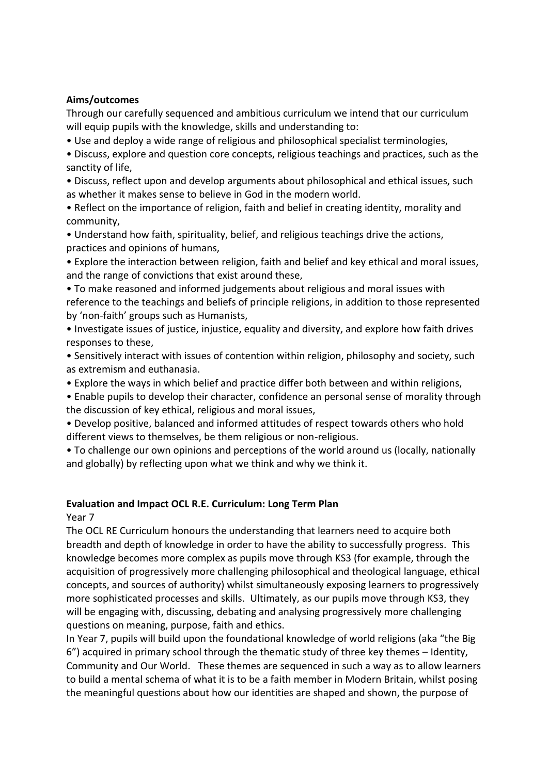# **Aims/outcomes**

Through our carefully sequenced and ambitious curriculum we intend that our curriculum will equip pupils with the knowledge, skills and understanding to:

• Use and deploy a wide range of religious and philosophical specialist terminologies,

• Discuss, explore and question core concepts, religious teachings and practices, such as the sanctity of life,

• Discuss, reflect upon and develop arguments about philosophical and ethical issues, such as whether it makes sense to believe in God in the modern world.

• Reflect on the importance of religion, faith and belief in creating identity, morality and community,

• Understand how faith, spirituality, belief, and religious teachings drive the actions, practices and opinions of humans,

• Explore the interaction between religion, faith and belief and key ethical and moral issues, and the range of convictions that exist around these,

• To make reasoned and informed judgements about religious and moral issues with reference to the teachings and beliefs of principle religions, in addition to those represented by 'non-faith' groups such as Humanists,

• Investigate issues of justice, injustice, equality and diversity, and explore how faith drives responses to these,

• Sensitively interact with issues of contention within religion, philosophy and society, such as extremism and euthanasia.

• Explore the ways in which belief and practice differ both between and within religions,

• Enable pupils to develop their character, confidence an personal sense of morality through the discussion of key ethical, religious and moral issues,

• Develop positive, balanced and informed attitudes of respect towards others who hold different views to themselves, be them religious or non-religious.

• To challenge our own opinions and perceptions of the world around us (locally, nationally and globally) by reflecting upon what we think and why we think it.

# **Evaluation and Impact OCL R.E. Curriculum: Long Term Plan**

Year 7

The OCL RE Curriculum honours the understanding that learners need to acquire both breadth and depth of knowledge in order to have the ability to successfully progress. This knowledge becomes more complex as pupils move through KS3 (for example, through the acquisition of progressively more challenging philosophical and theological language, ethical concepts, and sources of authority) whilst simultaneously exposing learners to progressively more sophisticated processes and skills. Ultimately, as our pupils move through KS3, they will be engaging with, discussing, debating and analysing progressively more challenging questions on meaning, purpose, faith and ethics.

In Year 7, pupils will build upon the foundational knowledge of world religions (aka "the Big 6") acquired in primary school through the thematic study of three key themes – Identity, Community and Our World. These themes are sequenced in such a way as to allow learners to build a mental schema of what it is to be a faith member in Modern Britain, whilst posing the meaningful questions about how our identities are shaped and shown, the purpose of